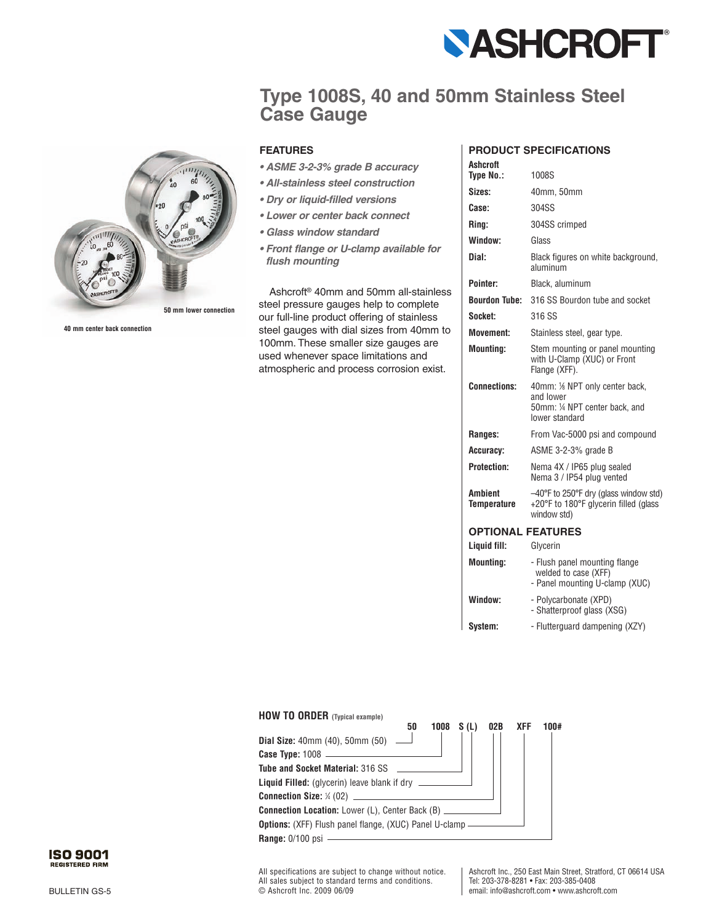

## **Type 1008S, 40 and 50mm Stainless Steel Case Gauge**



**40 mm center back connection**

## **FEATURES**

- *ASME 3-2-3% grade B accuracy*
- *All-stainless steel construction*
- *Dry or liquid-filled versions*
- *Lower or center back connect*
- *Glass window standard*
- *Front flange or U-clamp available for flush mounting*

Ashcroft® 40mm and 50mm all-stainless steel pressure gauges help to complete our full-line product offering of stainless steel gauges with dial sizes from 40mm to 100mm. These smaller size gauges are used whenever space limitations and atmospheric and process corrosion exist.

## **PRODUCT SPECIFICATIONS**

| <b>Ashcroft</b>                      |                                                                                                                    |  |  |  |  |  |
|--------------------------------------|--------------------------------------------------------------------------------------------------------------------|--|--|--|--|--|
| <b>Type No.:</b>                     | 1008S                                                                                                              |  |  |  |  |  |
| Sizes:                               | 40mm, 50mm                                                                                                         |  |  |  |  |  |
| Case:                                | 304SS                                                                                                              |  |  |  |  |  |
| Rina:                                | 304SS crimped                                                                                                      |  |  |  |  |  |
| Window:                              | Glass                                                                                                              |  |  |  |  |  |
| Dial:                                | Black figures on white background,<br>aluminum                                                                     |  |  |  |  |  |
| Pointer:                             | Black, aluminum                                                                                                    |  |  |  |  |  |
| <b>Bourdon Tube:</b>                 | 316 SS Bourdon tube and socket                                                                                     |  |  |  |  |  |
| Socket:                              | 316 SS                                                                                                             |  |  |  |  |  |
| <b>Movement:</b>                     | Stainless steel, gear type.                                                                                        |  |  |  |  |  |
| <b>Mounting:</b>                     | Stem mounting or panel mounting<br>with U-Clamp (XUC) or Front<br>Flange (XFF).                                    |  |  |  |  |  |
| <b>Connections:</b>                  | 40mm: 1/8 NPT only center back,<br>and lower<br>50mm: 1/4 NPT center back, and<br>lower standard                   |  |  |  |  |  |
| Ranges:                              | From Vac-5000 psi and compound                                                                                     |  |  |  |  |  |
| Accuracy:                            | ASME 3-2-3% grade B                                                                                                |  |  |  |  |  |
| <b>Protection:</b>                   | Nema 4X / IP65 plug sealed<br>Nema 3 / IP54 plug vented                                                            |  |  |  |  |  |
| <b>Ambient</b><br><b>Temperature</b> | $-40^{\circ}$ F to 250 $^{\circ}$ F dry (glass window std)<br>+20°F to 180°F glycerin filled (glass<br>window std) |  |  |  |  |  |
| <b>OPTIONAL FEATURES</b>             |                                                                                                                    |  |  |  |  |  |
| Liquid fill:                         | Glycerin                                                                                                           |  |  |  |  |  |
| <b>Mounting:</b>                     | - Flush panel mounting flange<br>welded to case (XFF)<br>- Panel mounting U-clamp (XUC)                            |  |  |  |  |  |

**Window:** - Polycarbonate (XPD)

**System:** - Flutterguard dampening (XZY)

- Shatterproof glass (XSG)



All specifications are subject to change without notice. All sales subject to standard terms and conditions. © Ashcroft Inc. 2009 06/09

Ashcroft Inc., 250 East Main Street, Stratford, CT 06614 USA Tel: 203-378-8281 • Fax: 203-385-0408 email: info@ashcroft.com • www.ashcroft.com